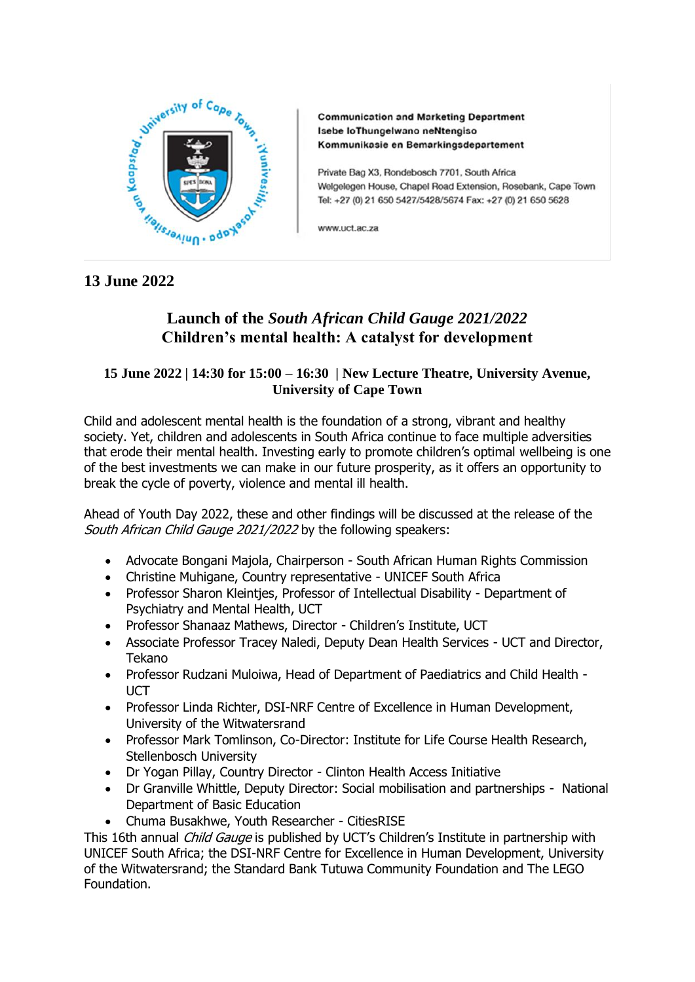

**Communication and Marketing Department** Isebe loThungelwano neNtengiso Kommunikasie en Bemarkingsdepartement

Private Bag X3, Rondebosch 7701, South Africa Welgelegen House, Chapel Road Extension, Rosebank, Cape Town Tel: +27 (0) 21 650 5427/5428/5674 Fax: +27 (0) 21 650 5628

www.uct.ac.za

## **13 June 2022**

# **Launch of the** *South African Child Gauge 2021/2022* **Children's mental health: A catalyst for development**

## **15 June 2022 | 14:30 for 15:00 – 16:30 | New Lecture Theatre, University Avenue, University of Cape Town**

Child and adolescent mental health is the foundation of a strong, vibrant and healthy society. Yet, children and adolescents in South Africa continue to face multiple adversities that erode their mental health. Investing early to promote children's optimal wellbeing is one of the best investments we can make in our future prosperity, as it offers an opportunity to break the cycle of poverty, violence and mental ill health.

Ahead of Youth Day 2022, these and other findings will be discussed at the release of the South African Child Gauge 2021/2022 by the following speakers:

- Advocate Bongani Majola, Chairperson South African Human Rights Commission
- Christine Muhigane, Country representative UNICEF South Africa
- Professor Sharon Kleintjes, Professor of Intellectual Disability Department of Psychiatry and Mental Health, UCT
- Professor Shanaaz Mathews, Director Children's Institute, UCT
- Associate Professor Tracey Naledi, Deputy Dean Health Services UCT and Director, Tekano
- Professor Rudzani Muloiwa, Head of Department of Paediatrics and Child Health UCT
- Professor Linda Richter, DSI-NRF Centre of Excellence in Human Development, University of the Witwatersrand
- Professor Mark Tomlinson, Co-Director: Institute for Life Course Health Research, Stellenbosch University
- Dr Yogan Pillay, Country Director Clinton Health Access Initiative
- Dr Granville Whittle, Deputy Director: Social mobilisation and partnerships National Department of Basic Education
- Chuma Busakhwe, Youth Researcher CitiesRISE

This 16th annual *Child Gauge* is published by UCT's Children's Institute in partnership with UNICEF South Africa; the DSI-NRF Centre for Excellence in Human Development, University of the Witwatersrand; the Standard Bank Tutuwa Community Foundation and The LEGO Foundation.